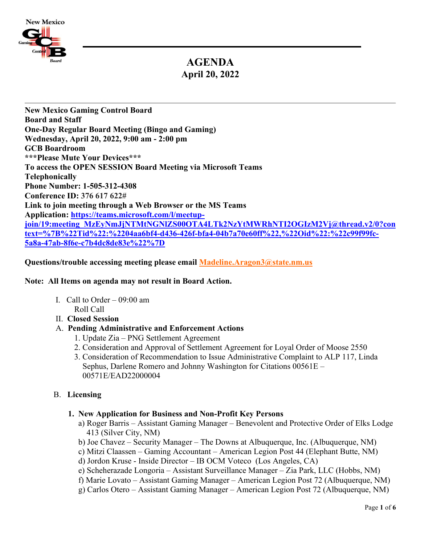

# **AGENDA April 20, 2022**

**New Mexico Gaming Control Board Board and Staff One-Day Regular Board Meeting (Bingo and Gaming) Wednesday, April 20, 2022, 9:00 am - 2:00 pm GCB Boardroom \*\*\*Please Mute Your Devices\*\*\* To access the OPEN SESSION Board Meeting via Microsoft Teams Telephonically Phone Number: 1-505-312-4308 Conference ID: 376 617 622# Link to join meeting [through a Web Browser or the MS Teams](https://teams.microsoft.com/l/meetup-join/19:meeting_Y2VjNGVhMmUtZjAyMi00N2NiLTkxYzItOThlNzQyZDY1Y2Qx@thread.v2/0?context=%7B%22Tid%22:%2204aa6bf4-d436-426f-bfa4-04b7a70e60ff%22,%22Oid%22:%22c99f99fc-5a8a-47ab-8f6e-c7b4dc8de83e%22%7D)  [Application:](https://teams.microsoft.com/l/meetup-join/19:meeting_Y2VjNGVhMmUtZjAyMi00N2NiLTkxYzItOThlNzQyZDY1Y2Qx@thread.v2/0?context=%7B%22Tid%22:%2204aa6bf4-d436-426f-bfa4-04b7a70e60ff%22,%22Oid%22:%22c99f99fc-5a8a-47ab-8f6e-c7b4dc8de83e%22%7D) [https://teams.microsoft.com/l/meetup](https://teams.microsoft.com/l/meetup-join/19:meeting_MzEyNmJjNTMtNGNlZS00OTA4LTk2NzYtMWRhNTI2OGIzM2Vj@thread.v2/0?context=%7B%22Tid%22:%2204aa6bf4-d436-426f-bfa4-04b7a70e60ff%22,%22Oid%22:%22c99f99fc-5a8a-47ab-8f6e-c7b4dc8de83e%22%7D)[join/19:meeting\\_MzEyNmJjNTMtNGNlZS00OTA4LTk2NzYtMWRhNTI2OGIzM2Vj@thread.v2/0?con](https://teams.microsoft.com/l/meetup-join/19:meeting_MzEyNmJjNTMtNGNlZS00OTA4LTk2NzYtMWRhNTI2OGIzM2Vj@thread.v2/0?context=%7B%22Tid%22:%2204aa6bf4-d436-426f-bfa4-04b7a70e60ff%22,%22Oid%22:%22c99f99fc-5a8a-47ab-8f6e-c7b4dc8de83e%22%7D) [text=%7B%22Tid%22:%2204aa6bf4-d436-426f-bfa4-04b7a70e60ff%22,%22Oid%22:%22c99f99fc-](https://teams.microsoft.com/l/meetup-join/19:meeting_MzEyNmJjNTMtNGNlZS00OTA4LTk2NzYtMWRhNTI2OGIzM2Vj@thread.v2/0?context=%7B%22Tid%22:%2204aa6bf4-d436-426f-bfa4-04b7a70e60ff%22,%22Oid%22:%22c99f99fc-5a8a-47ab-8f6e-c7b4dc8de83e%22%7D)[5a8a-47ab-8f6e-c7b4dc8de83e%22%7D](https://teams.microsoft.com/l/meetup-join/19:meeting_MzEyNmJjNTMtNGNlZS00OTA4LTk2NzYtMWRhNTI2OGIzM2Vj@thread.v2/0?context=%7B%22Tid%22:%2204aa6bf4-d436-426f-bfa4-04b7a70e60ff%22,%22Oid%22:%22c99f99fc-5a8a-47ab-8f6e-c7b4dc8de83e%22%7D)** 

**Questions/trouble accessing meeting please email [Madeline.Aragon3@state.nm.us](mailto:Madeline.Aragon3@state.nm.us)**

## **Note: All Items on agenda may not result in Board Action.**

- I. Call to Order  $-09:00$  am Roll Call
- II. **Closed Session**

## A. **Pending Administrative and Enforcement Actions**

- 1. Update Zia PNG Settlement Agreement
- 2. Consideration and Approval of Settlement Agreement for Loyal Order of Moose 2550
- 3. Consideration of Recommendation to Issue Administrative Complaint to ALP 117, Linda Sephus, Darlene Romero and Johnny Washington for Citations 00561E – 00571E/EAD22000004

## B. **Licensing**

- **1. New Application for Business and Non-Profit Key Persons**
	- a) Roger Barris Assistant Gaming Manager Benevolent and Protective Order of Elks Lodge 413 (Silver City, NM)
	- b) Joe Chavez Security Manager The Downs at Albuquerque, Inc. (Albuquerque, NM)
	- c) Mitzi Claassen Gaming Accountant American Legion Post 44 (Elephant Butte, NM)
	- d) Jordon Kruse Inside Director IB OCM Voteco (Los Angeles, CA)
	- e) Scheherazade Longoria Assistant Surveillance Manager Zia Park, LLC (Hobbs, NM)
	- f) Marie Lovato Assistant Gaming Manager American Legion Post 72 (Albuquerque, NM)
	- g) Carlos Otero Assistant Gaming Manager American Legion Post 72 (Albuquerque, NM)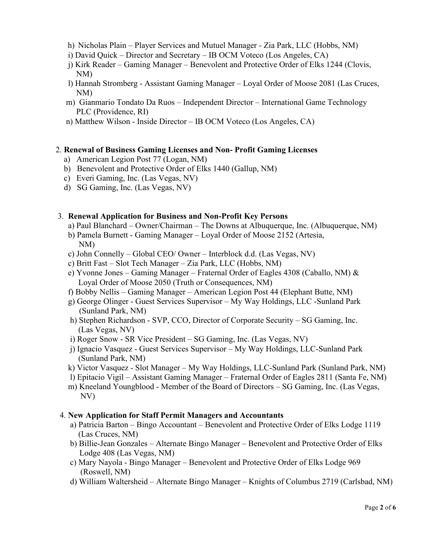- h) Nicholas Plain Player Services and Mutuel Manager Zia Park, LLC (Hobbs, NM)
- i) David Quick Director and Secretary IB OCM Voteco (Los Angeles, CA)
- j) Kirk Reader Gaming Manager Benevolent and Protective Order of Elks 1244 (Clovis, NM)
- l) Hannah Stromberg Assistant Gaming Manager Loyal Order of Moose 2081 (Las Cruces, NM)
- m) Gianmario Tondato Da Ruos Independent Director International Game Technology PLC (Providence, RI)
- n) Matthew Wilson Inside Director IB OCM Voteco (Los Angeles, CA)

## 2. **Renewal of Business Gaming Licenses and Non- Profit Gaming Licenses**

- a) American Legion Post 77 (Logan, NM)
- b) Benevolent and Protective Order of Elks 1440 (Gallup, NM)
- c) Everi Gaming, Inc. (Las Vegas, NV)
- d) SG Gaming, Inc. (Las Vegas, NV)

## 3. **Renewal Application for Business and Non-Profit Key Persons**

- a) Paul Blanchard Owner/Chairman The Downs at Albuquerque, Inc. (Albuquerque, NM)
- b) Pamela Burnett Gaming Manager Loyal Order of Moose 2152 (Artesia, NM)
- c) John Connelly Global CEO/ Owner Interblock d.d. (Las Vegas, NV)
- c) Britt Fast Slot Tech Manager Zia Park, LLC (Hobbs, NM)
- e) Yvonne Jones Gaming Manager Fraternal Order of Eagles 4308 (Caballo, NM) & Loyal Order of Moose 2050 (Truth or Consequences, NM)
- f) Bobby Nellis Gaming Manager American Legion Post 44 (Elephant Butte, NM)
- g) George Olinger Guest Services Supervisor My Way Holdings, LLC -Sunland Park (Sunland Park, NM)
- h) Stephen Richardson SVP, CCO, Director of Corporate Security SG Gaming, Inc. (Las Vegas, NV)
- i) Roger Snow SR Vice President SG Gaming, Inc. (Las Vegas, NV)
- j) Ignacio Vasquez Guest Services Supervisor My Way Holdings, LLC-Sunland Park (Sunland Park, NM)
- k) Victor Vasquez Slot Manager My Way Holdings, LLC-Sunland Park (Sunland Park, NM)
- l) Epitacio Vigil Assistant Gaming Manager Fraternal Order of Eagles 2811 (Santa Fe, NM)
- m) Kneeland Youngblood Member of the Board of Directors SG Gaming, Inc. (Las Vegas, NV)

## 4. **New Application for Staff Permit Managers and Accountants**

- a) Patricia Barton Bingo Accountant Benevolent and Protective Order of Elks Lodge 1119 (Las Cruces, NM)
- b) Billie-Jean Gonzales Alternate Bingo Manager Benevolent and Protective Order of Elks Lodge 408 (Las Vegas, NM)
- c) Mary Nayola Bingo Manager Benevolent and Protective Order of Elks Lodge 969 (Roswell, NM)
- d) William Waltersheid Alternate Bingo Manager Knights of Columbus 2719 (Carlsbad, NM)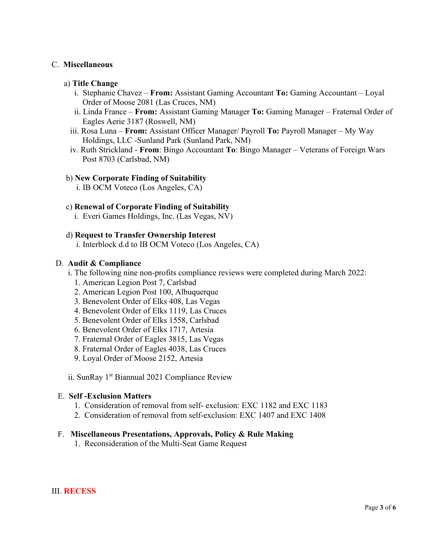## C. **Miscellaneous**

## a) **Title Change**

- i. Stephanie Chavez **From:** Assistant Gaming Accountant **To:** Gaming Accountant Loyal Order of Moose 2081 (Las Cruces, NM)
- ii. Linda France **From:** Assistant Gaming Manager **To:** Gaming Manager Fraternal Order of Eagles Aerie 3187 (Roswell, NM)
- iii. Rosa Luna **From:** Assistant Officer Manager/ Payroll **To:** Payroll Manager My Way Holdings, LLC -Sunland Park (Sunland Park, NM)
- iv. Ruth Strickland **From**: Bingo Accountant **To**: Bingo Manager Veterans of Foreign Wars Post 8703 (Carlsbad, NM)

## b) **New Corporate Finding of Suitability**

i. IB OCM Voteco (Los Angeles, CA)

## c) **Renewal of Corporate Finding of Suitability**

i. Everi Games Holdings, Inc. (Las Vegas, NV)

## d) **Request to Transfer Ownership Interest**

i. Interblock d.d to IB OCM Voteco (Los Angeles, CA)

#### D. **Audit & Compliance**

- i. The following nine non-profits compliance reviews were completed during March 2022:
	- 1. American Legion Post 7, Carlsbad
	- 2. American Legion Post 100, Albuquerque
	- 3. Benevolent Order of Elks 408, Las Vegas
	- 4. Benevolent Order of Elks 1119, Las Cruces
	- 5. Benevolent Order of Elks 1558, Carlsbad
	- 6. Benevolent Order of Elks 1717, Artesia
	- 7. Fraternal Order of Eagles 3815, Las Vegas
	- 8. Fraternal Order of Eagles 4038, Las Cruces
	- 9. Loyal Order of Moose 2152, Artesia
- ii. SunRay 1<sup>st</sup> Biannual 2021 Compliance Review

#### E. **Self -Exclusion Matters**

- 1. Consideration of removal from self- exclusion: EXC 1182 and EXC 1183
- 2. Consideration of removal from self-exclusion: EXC 1407 and EXC 1408

## F. **Miscellaneous Presentations, Approvals, Policy & Rule Making**

1. Reconsideration of the Multi-Seat Game Request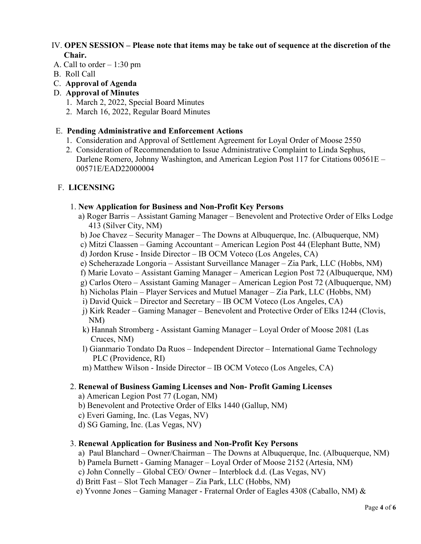## IV. **OPEN SESSION – Please note that items may be take out of sequence at the discretion of the Chair.**

- A. Call to order 1:30 pm
- B. Roll Call
- C. **Approval of Agenda**

## D. **Approval of Minutes**

- 1. March 2, 2022, Special Board Minutes
- 2. March 16, 2022, Regular Board Minutes

## E. **Pending Administrative and Enforcement Actions**

- 1. Consideration and Approval of Settlement Agreement for Loyal Order of Moose 2550
- 2. Consideration of Recommendation to Issue Administrative Complaint to Linda Sephus, Darlene Romero, Johnny Washington, and American Legion Post 117 for Citations 00561E – 00571E/EAD22000004

## F. **LICENSING**

#### 1. **New Application for Business and Non-Profit Key Persons**

- a) Roger Barris Assistant Gaming Manager Benevolent and Protective Order of Elks Lodge 413 (Silver City, NM)
- b) Joe Chavez Security Manager The Downs at Albuquerque, Inc. (Albuquerque, NM)
- c) Mitzi Claassen Gaming Accountant American Legion Post 44 (Elephant Butte, NM)
- d) Jordon Kruse Inside Director IB OCM Voteco (Los Angeles, CA)
- e) Scheherazade Longoria Assistant Surveillance Manager Zia Park, LLC (Hobbs, NM)
- f) Marie Lovato Assistant Gaming Manager American Legion Post 72 (Albuquerque, NM)
- g) Carlos Otero Assistant Gaming Manager American Legion Post 72 (Albuquerque, NM)
- h) Nicholas Plain Player Services and Mutuel Manager Zia Park, LLC (Hobbs, NM)
- i) David Quick Director and Secretary IB OCM Voteco (Los Angeles, CA)
- j) Kirk Reader Gaming Manager Benevolent and Protective Order of Elks 1244 (Clovis, NM)
- k) Hannah Stromberg Assistant Gaming Manager Loyal Order of Moose 2081 (Las Cruces, NM)
- l) Gianmario Tondato Da Ruos Independent Director International Game Technology PLC (Providence, RI)
- m) Matthew Wilson Inside Director IB OCM Voteco (Los Angeles, CA)

## 2. **Renewal of Business Gaming Licenses and Non- Profit Gaming Licenses**

- a) American Legion Post 77 (Logan, NM)
- b) Benevolent and Protective Order of Elks 1440 (Gallup, NM)
- c) Everi Gaming, Inc. (Las Vegas, NV)
- d) SG Gaming, Inc. (Las Vegas, NV)

## 3. **Renewal Application for Business and Non-Profit Key Persons**

- a) Paul Blanchard Owner/Chairman The Downs at Albuquerque, Inc. (Albuquerque, NM)
- b) Pamela Burnett Gaming Manager Loyal Order of Moose 2152 (Artesia, NM)
- c) John Connelly Global CEO/ Owner Interblock d.d. (Las Vegas, NV)
- d) Britt Fast Slot Tech Manager Zia Park, LLC (Hobbs, NM)
- e) Yvonne Jones Gaming Manager Fraternal Order of Eagles 4308 (Caballo, NM) &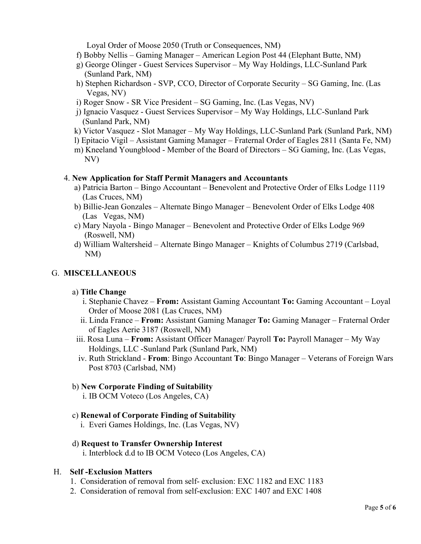Loyal Order of Moose 2050 (Truth or Consequences, NM)

- f) Bobby Nellis Gaming Manager American Legion Post 44 (Elephant Butte, NM)
- g) George Olinger Guest Services Supervisor My Way Holdings, LLC-Sunland Park (Sunland Park, NM)
- h) Stephen Richardson SVP, CCO, Director of Corporate Security SG Gaming, Inc. (Las Vegas, NV)
- i) Roger Snow SR Vice President SG Gaming, Inc. (Las Vegas, NV)
- j) Ignacio Vasquez Guest Services Supervisor My Way Holdings, LLC-Sunland Park (Sunland Park, NM)
- k) Victor Vasquez Slot Manager My Way Holdings, LLC-Sunland Park (Sunland Park, NM)
- l) Epitacio Vigil Assistant Gaming Manager Fraternal Order of Eagles 2811 (Santa Fe, NM)
- m) Kneeland Youngblood Member of the Board of Directors SG Gaming, Inc. (Las Vegas, NV)

#### 4. **New Application for Staff Permit Managers and Accountants**

- a) Patricia Barton Bingo Accountant Benevolent and Protective Order of Elks Lodge 1119 (Las Cruces, NM)
- b) Billie-Jean Gonzales Alternate Bingo Manager Benevolent Order of Elks Lodge 408 (Las Vegas, NM)
- c) Mary Nayola Bingo Manager Benevolent and Protective Order of Elks Lodge 969 (Roswell, NM)
- d) William Waltersheid Alternate Bingo Manager Knights of Columbus 2719 (Carlsbad, NM)

## G. **MISCELLANEOUS**

## a) **Title Change**

- i. Stephanie Chavez **From:** Assistant Gaming Accountant **To:** Gaming Accountant Loyal Order of Moose 2081 (Las Cruces, NM)
- ii. Linda France **From:** Assistant Gaming Manager **To:** Gaming Manager Fraternal Order of Eagles Aerie 3187 (Roswell, NM)
- iii. Rosa Luna **From:** Assistant Officer Manager/ Payroll **To:** Payroll Manager My Way Holdings, LLC -Sunland Park (Sunland Park, NM)
- iv. Ruth Strickland **From**: Bingo Accountant **To**: Bingo Manager Veterans of Foreign Wars Post 8703 (Carlsbad, NM)

## b) **New Corporate Finding of Suitability**

i. IB OCM Voteco (Los Angeles, CA)

## c) **Renewal of Corporate Finding of Suitability**

i. Everi Games Holdings, Inc. (Las Vegas, NV)

## d) **Request to Transfer Ownership Interest**

i. Interblock d.d to IB OCM Voteco (Los Angeles, CA)

## H. **Self -Exclusion Matters**

- 1. Consideration of removal from self- exclusion: EXC 1182 and EXC 1183
- 2. Consideration of removal from self-exclusion: EXC 1407 and EXC 1408